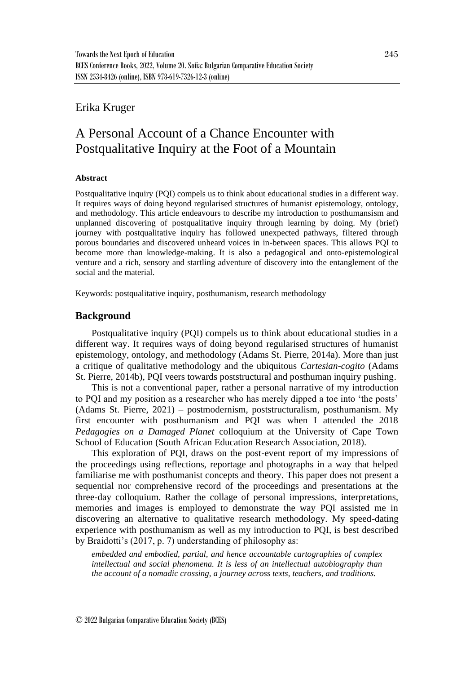# Erika Kruger

# A Personal Account of a Chance Encounter with Postqualitative Inquiry at the Foot of a Mountain

#### **Abstract**

Postqualitative inquiry (PQI) compels us to think about educational studies in a different way. It requires ways of doing beyond regularised structures of humanist epistemology, ontology, and methodology. This article endeavours to describe my introduction to posthumansism and unplanned discovering of postqualitative inquiry through learning by doing. My (brief) journey with postqualitative inquiry has followed unexpected pathways, filtered through porous boundaries and discovered unheard voices in in-between spaces. This allows PQI to become more than knowledge-making. It is also a pedagogical and onto-epistemological venture and a rich, sensory and startling adventure of discovery into the entanglement of the social and the material.

Keywords: postqualitative inquiry, posthumanism, research methodology

# **Background**

Postqualitative inquiry (PQI) compels us to think about educational studies in a different way. It requires ways of doing beyond regularised structures of humanist epistemology, ontology, and methodology (Adams St. Pierre, 2014a). More than just a critique of qualitative methodology and the ubiquitous *Cartesian-cogito* (Adams St. Pierre, 2014b), PQI veers towards poststructural and posthuman inquiry pushing.

This is not a conventional paper, rather a personal narrative of my introduction to PQI and my position as a researcher who has merely dipped a toe into 'the posts' (Adams St. Pierre, 2021) – postmodernism, poststructuralism, posthumanism. My first encounter with posthumanism and PQI was when I attended the 2018 *Pedagogies on a Damaged Planet* colloquium at the University of Cape Town School of Education (South African Education Research Association, 2018).

This exploration of PQI, draws on the post-event report of my impressions of the proceedings using reflections, reportage and photographs in a way that helped familiarise me with posthumanist concepts and theory. This paper does not present a sequential nor comprehensive record of the proceedings and presentations at the three-day colloquium. Rather the collage of personal impressions, interpretations, memories and images is employed to demonstrate the way PQI assisted me in discovering an alternative to qualitative research methodology. My speed-dating experience with posthumanism as well as my introduction to PQI, is best described by Braidotti's (2017, p. 7) understanding of philosophy as:

*embedded and embodied, partial, and hence accountable cartographies of complex intellectual and social phenomena. It is less of an intellectual autobiography than the account of a nomadic crossing, a journey across texts, teachers, and traditions.*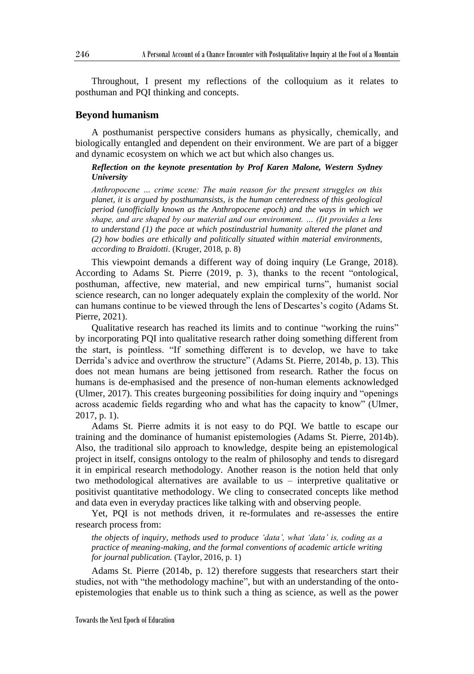Throughout, I present my reflections of the colloquium as it relates to posthuman and PQI thinking and concepts.

#### **Beyond humanism**

A posthumanist perspective considers humans as physically, chemically, and biologically entangled and dependent on their environment. We are part of a bigger and dynamic ecosystem on which we act but which also changes us.

#### *Reflection on the keynote presentation by Prof Karen Malone, Western Sydney University*

*Anthropocene … crime scene: The main reason for the present struggles on this planet, it is argued by posthumansists, is the human centeredness of this geological period (unofficially known as the Anthropocene epoch) and the ways in which we shape, and are shaped by our material and our environment. … (I)t provides a lens to understand (1) the pace at which postindustrial humanity altered the planet and (2) how bodies are ethically and politically situated within material environments, according to Braidotti.* (Kruger, 2018, p. 8)

This viewpoint demands a different way of doing inquiry (Le Grange, 2018). According to Adams St. Pierre (2019, p. 3), thanks to the recent "ontological, posthuman, affective, new material, and new empirical turns", humanist social science research, can no longer adequately explain the complexity of the world. Nor can humans continue to be viewed through the lens of Descartes's cogito (Adams St. Pierre, 2021).

Qualitative research has reached its limits and to continue "working the ruins" by incorporating PQI into qualitative research rather doing something different from the start, is pointless. "If something different is to develop, we have to take Derrida's advice and overthrow the structure" (Adams St. Pierre, 2014b, p. 13). This does not mean humans are being jettisoned from research. Rather the focus on humans is de-emphasised and the presence of non-human elements acknowledged (Ulmer, 2017). This creates burgeoning possibilities for doing inquiry and "openings across academic fields regarding who and what has the capacity to know" (Ulmer, 2017, p. 1).

Adams St. Pierre admits it is not easy to do PQI. We battle to escape our training and the dominance of humanist epistemologies (Adams St. Pierre, 2014b). Also, the traditional silo approach to knowledge, despite being an epistemological project in itself, consigns ontology to the realm of philosophy and tends to disregard it in empirical research methodology. Another reason is the notion held that only two methodological alternatives are available to us – interpretive qualitative or positivist quantitative methodology. We cling to consecrated concepts like method and data even in everyday practices like talking with and observing people.

Yet, PQI is not methods driven, it re-formulates and re-assesses the entire research process from:

*the objects of inquiry, methods used to produce 'data', what 'data' is, coding as a practice of meaning-making, and the formal conventions of academic article writing for journal publication.* (Taylor, 2016, p. 1)

Adams St. Pierre (2014b, p. 12) therefore suggests that researchers start their studies, not with "the methodology machine", but with an understanding of the ontoepistemologies that enable us to think such a thing as science, as well as the power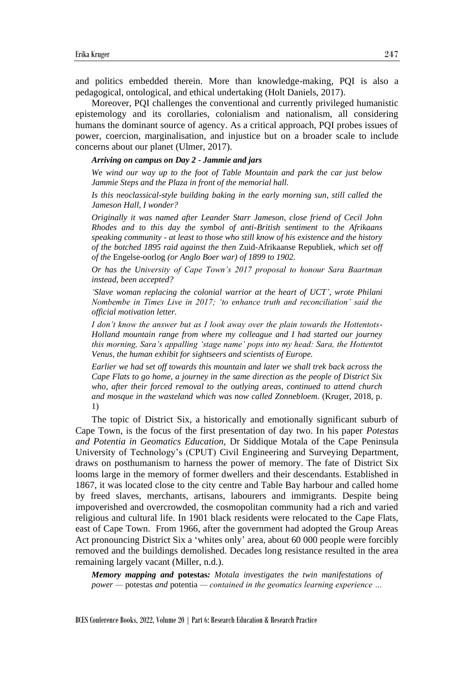and politics embedded therein. More than knowledge-making, PQI is also a pedagogical, ontological, and ethical undertaking (Holt Daniels, 2017).

Moreover, PQI challenges the conventional and currently privileged humanistic epistemology and its corollaries, colonialism and nationalism, all considering humans the dominant source of agency. As a critical approach, PQI probes issues of power, coercion, marginalisation, and injustice but on a broader scale to include concerns about our planet (Ulmer, 2017).

# *Arriving on campus on Day 2 - Jammie and jars*

*We wind our way up to the foot of Table Mountain and park the car just below Jammie Steps and the Plaza in front of the memorial hall.* 

*Is this neoclassical-style building baking in the early morning sun, still called the Jameson Hall, I wonder?* 

*Originally it was named after Leander Starr Jameson, close friend of Cecil John Rhodes and to this day the symbol of anti-British sentiment to the Afrikaans speaking community - at least to those who still know of his existence and the history of the botched 1895 raid against the then* Zuid-Afrikaanse Republiek*, which set off of the* Engelse-oorlog *(or Anglo Boer war) of 1899 to 1902.* 

*Or has the University of Cape Town's 2017 proposal to honour Sara Baartman instead, been accepted?* 

*'Slave woman replacing the colonial warrior at the heart of UCT', wrote Philani Nombembe in Times Live in 2017; 'to enhance truth and reconciliation' said the official motivation letter.* 

*I don't know the answer but as I look away over the plain towards the Hottentots-Holland mountain range from where my colleague and I had started our journey this morning, Sara's appalling 'stage name' pops into my head: Sara, the Hottentot Venus, the human exhibit for sightseers and scientists of Europe.* 

*Earlier we had set off towards this mountain and later we shall trek back across the Cape Flats to go home, a journey in the same direction as the people of District Six who, after their forced removal to the outlying areas, continued to attend church and mosque in the wasteland which was now called Zonnebloem.* (Kruger, 2018, p. 1)

The topic of District Six, a historically and emotionally significant suburb of Cape Town, is the focus of the first presentation of day two. In his paper *Potestas and Potentia in Geomatics Education,* Dr Siddique Motala of the Cape Peninsula University of Technology's (CPUT) Civil Engineering and Surveying Department, draws on posthumanism to harness the power of memory. The fate of District Six looms large in the memory of former dwellers and their descendants. Established in 1867, it was located close to the city centre and Table Bay harbour and called home by freed slaves, merchants, artisans, labourers and immigrants. Despite being impoverished and overcrowded, the cosmopolitan community had a rich and varied religious and cultural life. In 1901 black residents were relocated to the Cape Flats, east of Cape Town. From 1966, after the government had adopted the Group Areas Act pronouncing District Six a 'whites only' area, about 60 000 people were forcibly removed and the buildings demolished. Decades long resistance resulted in the area remaining largely vacant (Miller, n.d.).

*Memory mapping and* **potestas***: Motala investigates the twin manifestations of power —* potestas *and* potentia *— contained in the geomatics learning experience …*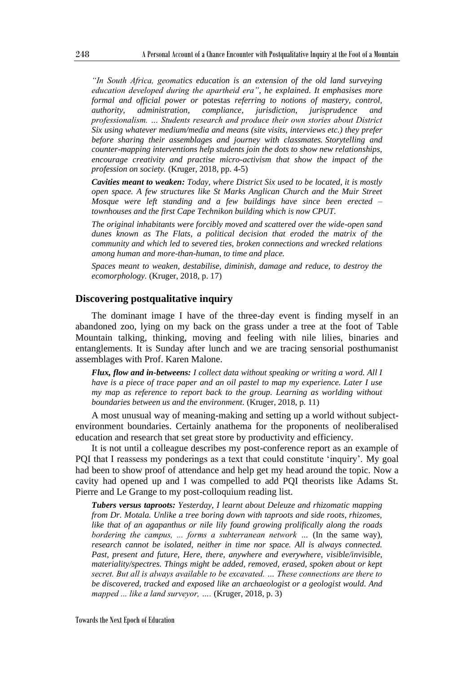*"In South Africa, geomatics education is an extension of the old land surveying education developed during the apartheid era", he explained. It emphasises more formal and official power or* potestas *referring to notions of mastery, control, authority, administration, compliance, jurisdiction, jurisprudence and professionalism. … Students research and produce their own stories about District Six using whatever medium/media and means (site visits, interviews etc.) they prefer before sharing their assemblages and journey with classmates. Storytelling and counter-mapping interventions help students join the dots to show new relationships, encourage creativity and practise micro-activism that show the impact of the profession on society.* (Kruger, 2018, pp. 4-5)

*Cavities meant to weaken: Today, where District Six used to be located, it is mostly open space. A few structures like St Marks Anglican Church and the Muir Street Mosque were left standing and a few buildings have since been erected – townhouses and the first Cape Technikon building which is now CPUT.* 

*The original inhabitants were forcibly moved and scattered over the wide-open sand dunes known as The Flats, a political decision that eroded the matrix of the community and which led to severed ties, broken connections and wrecked relations among human and more-than-human, to time and place.* 

*Spaces meant to weaken, destabilise, diminish, damage and reduce, to destroy the ecomorphology.* (Kruger, 2018, p. 17)

# **Discovering postqualitative inquiry**

The dominant image I have of the three-day event is finding myself in an abandoned zoo, lying on my back on the grass under a tree at the foot of Table Mountain talking, thinking, moving and feeling with nile lilies, binaries and entanglements. It is Sunday after lunch and we are tracing sensorial posthumanist assemblages with Prof. Karen Malone.

*Flux, flow and in-betweens: I collect data without speaking or writing a word. All I have is a piece of trace paper and an oil pastel to map my experience. Later I use my map as reference to report back to the group. Learning as worlding without boundaries between us and the environment.* (Kruger, 2018, p. 11)

A most unusual way of meaning-making and setting up a world without subjectenvironment boundaries. Certainly anathema for the proponents of neoliberalised education and research that set great store by productivity and efficiency.

It is not until a colleague describes my post-conference report as an example of PQI that I reassess my ponderings as a text that could constitute 'inquiry'. My goal had been to show proof of attendance and help get my head around the topic. Now a cavity had opened up and I was compelled to add PQI theorists like Adams St. Pierre and Le Grange to my post-colloquium reading list.

*Tubers versus taproots: Yesterday, I learnt about Deleuze and rhizomatic mapping from Dr. Motala. Unlike a tree boring down with taproots and side roots, rhizomes, like that of an agapanthus or nile lily found growing prolifically along the roads bordering the campus, ... forms a subterranean network …* (In the same way)*, research cannot be isolated, neither in time nor space. All is always connected. Past, present and future, Here, there, anywhere and everywhere, visible/invisible, materiality/spectres. Things might be added, removed, erased, spoken about or kept secret. But all is always available to be excavated. … These connections are there to be discovered, tracked and exposed like an archaeologist or a geologist would. And mapped ... like a land surveyor, ….* (Kruger, 2018, p. 3)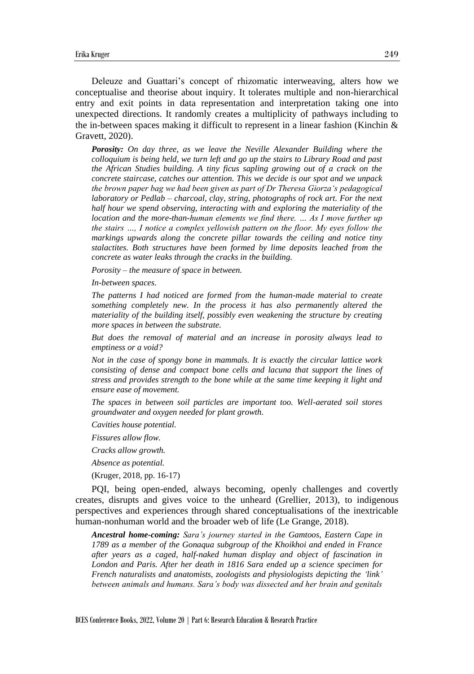Deleuze and Guattari's concept of rhizomatic interweaving, alters how we conceptualise and theorise about inquiry. It tolerates multiple and non-hierarchical entry and exit points in data representation and interpretation taking one into unexpected directions. It randomly creates a multiplicity of pathways including to the in-between spaces making it difficult to represent in a linear fashion (Kinchin & Gravett, 2020).

*Porosity: On day three, as we leave the Neville Alexander Building where the colloquium is being held, we turn left and go up the stairs to Library Road and past the African Studies building. A tiny ficus sapling growing out of a crack on the concrete staircase, catches our attention. This we decide is our spot and we unpack the brown paper bag we had been given as part of Dr Theresa Giorza's pedagogical laboratory or Pedlab – charcoal, clay, string, photographs of rock art. For the next half hour we spend observing, interacting with and exploring the materiality of the location and the more-than-human elements we find there. ... As I move further up the stairs …, I notice a complex yellowish pattern on the floor. My eyes follow the markings upwards along the concrete pillar towards the ceiling and notice tiny stalactites. Both structures have been formed by lime deposits leached from the concrete as water leaks through the cracks in the building.* 

*Porosity – the measure of space in between.* 

*In-between spaces.* 

*The patterns I had noticed are formed from the human-made material to create something completely new. In the process it has also permanently altered the materiality of the building itself, possibly even weakening the structure by creating more spaces in between the substrate.* 

*But does the removal of material and an increase in porosity always lead to emptiness or a void?* 

*Not in the case of spongy bone in mammals. It is exactly the circular lattice work consisting of dense and compact bone cells and lacuna that support the lines of stress and provides strength to the bone while at the same time keeping it light and ensure ease of movement.* 

*The spaces in between soil particles are important too. Well-aerated soil stores groundwater and oxygen needed for plant growth.* 

*Cavities house potential.* 

*Fissures allow flow.* 

*Cracks allow growth.* 

*Absence as potential.*

(Kruger, 2018, pp. 16-17)

PQI, being open-ended, always becoming, openly challenges and covertly creates, disrupts and gives voice to the unheard (Grellier, 2013), to indigenous perspectives and experiences through shared conceptualisations of the inextricable human-nonhuman world and the broader web of life (Le Grange, 2018).

*Ancestral home-coming: Sara's journey started in the Gamtoos, Eastern Cape in 1789 as a member of the Gonaqua subgroup of the Khoikhoi and ended in France after years as a caged, half-naked human display and object of fascination in London and Paris. After her death in 1816 Sara ended up a science specimen for French naturalists and anatomists, zoologists and physiologists depicting the 'link' between animals and humans. Sara's body was dissected and her brain and genitals*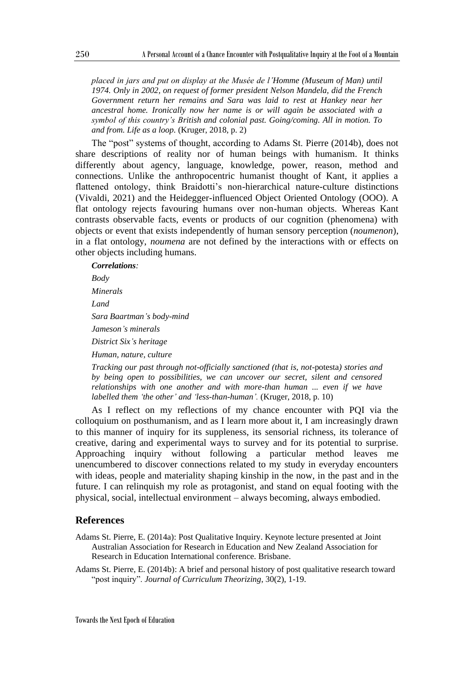*placed in jars and put on display at the Musée de l'Homme (Museum of Man) until 1974. Only in 2002, on request of former president Nelson Mandela, did the French Government return her remains and Sara was laid to rest at Hankey near her ancestral home. Ironically now her name is or will again be associated with a symbol of this country's British and colonial past. Going/coming. All in motion. To and from. Life as a loop.* (Kruger, 2018, p. 2)

The "post" systems of thought, according to Adams St. Pierre (2014b), does not share descriptions of reality nor of human beings with humanism. It thinks differently about agency, language, knowledge, power, reason, method and connections. Unlike the anthropocentric humanist thought of Kant, it applies a flattened ontology, think Braidotti's non-hierarchical nature-culture distinctions (Vivaldi, 2021) and the Heidegger-influenced Object Oriented Ontology (OOO). A flat ontology rejects favouring humans over non-human objects. Whereas Kant contrasts observable facts, events or products of our cognition (phenomena) with objects or event that exists independently of human sensory perception (*noumenon*), in a flat ontology, *noumena* are not defined by the interactions with or effects on other objects including humans.

#### *Correlations:*

*Body Minerals Land Sara Baartman's body-mind Jameson's minerals District Six's heritage Human, nature, culture* 

*Tracking our past through not-officially sanctioned (that is, not-*potesta*) stories and by being open to possibilities, we can uncover our secret, silent and censored relationships with one another and with more-than human ... even if we have labelled them 'the other' and 'less-than-human'.* (Kruger, 2018, p. 10)

As I reflect on my reflections of my chance encounter with PQI via the colloquium on posthumanism, and as I learn more about it, I am increasingly drawn to this manner of inquiry for its suppleness, its sensorial richness, its tolerance of creative, daring and experimental ways to survey and for its potential to surprise. Approaching inquiry without following a particular method leaves me unencumbered to discover connections related to my study in everyday encounters with ideas, people and materiality shaping kinship in the now, in the past and in the future. I can relinquish my role as protagonist, and stand on equal footing with the physical, social, intellectual environment – always becoming, always embodied.

## **References**

- Adams St. Pierre, E. (2014a): Post Qualitative Inquiry. Keynote lecture presented at Joint Australian Association for Research in Education and New Zealand Association for Research in Education International conference. Brisbane.
- Adams St. Pierre, E. (2014b): A brief and personal history of post qualitative research toward "post inquiry". *Journal of Curriculum Theorizing*, 30(2), 1-19.